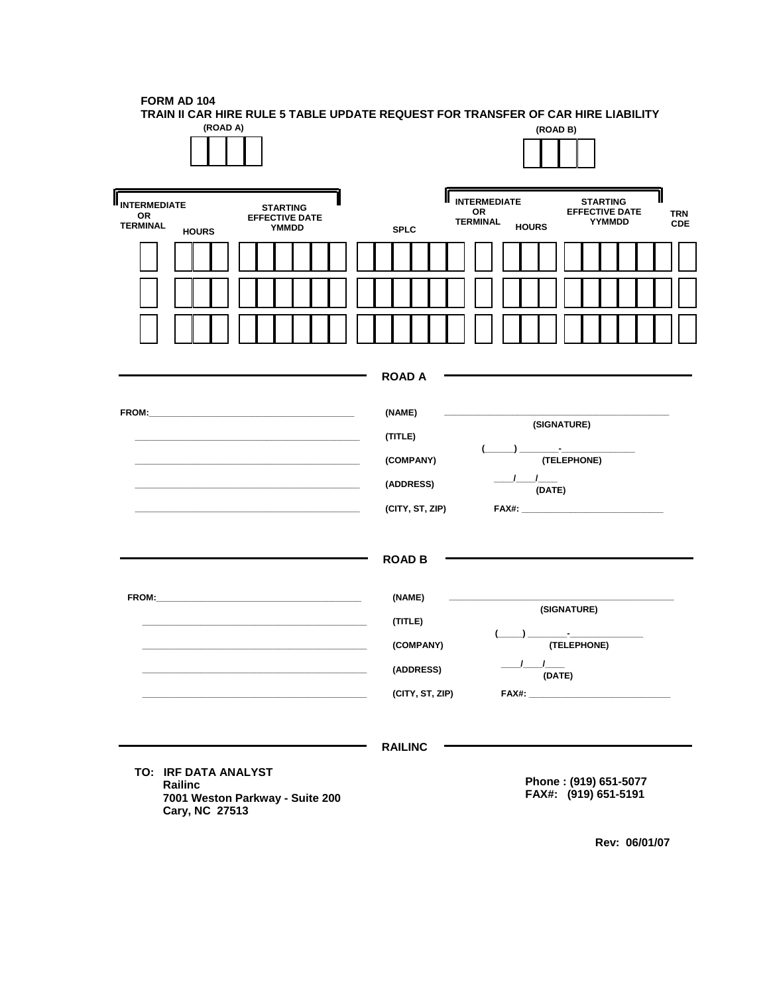| <b>FORM AD 104</b>                                                               |  |
|----------------------------------------------------------------------------------|--|
| TRAIN II CAR HIRE RULE 5 TABLE UPDATE REQUEST FOR TRANSFER OF CAR HIRE LIABILITY |  |

| (ROAD A)                                                                                                                    |                                                                |                                                    | (ROAD B)                                                                                                                                                                       |                          |
|-----------------------------------------------------------------------------------------------------------------------------|----------------------------------------------------------------|----------------------------------------------------|--------------------------------------------------------------------------------------------------------------------------------------------------------------------------------|--------------------------|
| <b>II</b> INTERMEDIATE<br><b>STARTING</b><br>OR<br><b>EFFECTIVE DATE</b><br><b>TERMINAL</b><br><b>YMMDD</b><br><b>HOURS</b> | <b>SPLC</b>                                                    | II<br><b>INTERMEDIATE</b><br>OR<br><b>TERMINAL</b> | <b>STARTING</b><br><b>EFFECTIVE DATE</b><br>YYMMDD<br><b>HOURS</b>                                                                                                             | <b>TRN</b><br><b>CDE</b> |
|                                                                                                                             |                                                                |                                                    |                                                                                                                                                                                |                          |
|                                                                                                                             |                                                                |                                                    |                                                                                                                                                                                |                          |
|                                                                                                                             | <b>ROAD A</b>                                                  |                                                    |                                                                                                                                                                                |                          |
|                                                                                                                             | (NAME)<br>(TITLE)<br>(COMPANY)<br>(ADDRESS)<br>(CITY, ST, ZIP) |                                                    | (SIGNATURE)<br><u> 1990 - Jan Barbara Barat, prima prima prima prima prima prima prima prima prima prima prima prima prima prima</u><br>(TELEPHONE)<br>$\frac{1}{2}$<br>(DATE) |                          |
| $FROM:$ The set of $\blacksquare$                                                                                           | <b>ROAD B</b><br>(NAME)                                        |                                                    |                                                                                                                                                                                |                          |
|                                                                                                                             | (TITLE)<br>(COMPANY)<br>(ADDRESS)<br>(CITY, ST, ZIP)           |                                                    | (SIGNATURE)<br><u> Alexandria de la c</u><br>(TELEPHONE)<br>(DATE)                                                                                                             |                          |
| TO: IRF DATA ANALYST<br>Railinc<br>7001 Weston Parkway - Suite 200<br>Cary, NC 27513                                        | <b>RAILINC</b>                                                 |                                                    | Phone: (919) 651-5077<br>FAX#: (919) 651-5191                                                                                                                                  |                          |

 **Rev: 06/01/07**